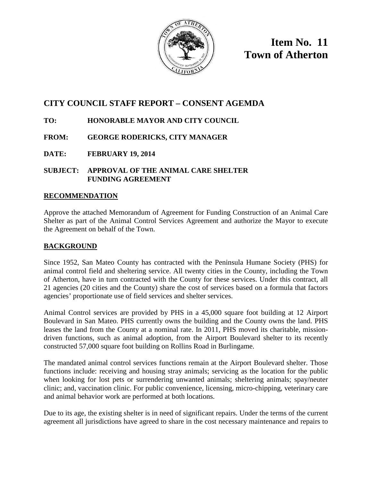

**Item No. 11 Town of Atherton**

# **CITY COUNCIL STAFF REPORT – CONSENT AGEMDA**

# **TO: HONORABLE MAYOR AND CITY COUNCIL**

## **FROM: GEORGE RODERICKS, CITY MANAGER**

**DATE: FEBRUARY 19, 2014**

### **SUBJECT: APPROVAL OF THE ANIMAL CARE SHELTER FUNDING AGREEMENT**

## **RECOMMENDATION**

Approve the attached Memorandum of Agreement for Funding Construction of an Animal Care Shelter as part of the Animal Control Services Agreement and authorize the Mayor to execute the Agreement on behalf of the Town.

## **BACKGROUND**

Since 1952, San Mateo County has contracted with the Peninsula Humane Society (PHS) for animal control field and sheltering service. All twenty cities in the County, including the Town of Atherton, have in turn contracted with the County for these services. Under this contract, all 21 agencies (20 cities and the County) share the cost of services based on a formula that factors agencies' proportionate use of field services and shelter services.

Animal Control services are provided by PHS in a 45,000 square foot building at 12 Airport Boulevard in San Mateo. PHS currently owns the building and the County owns the land. PHS leases the land from the County at a nominal rate. In 2011, PHS moved its charitable, missiondriven functions, such as animal adoption, from the Airport Boulevard shelter to its recently constructed 57,000 square foot building on Rollins Road in Burlingame.

The mandated animal control services functions remain at the Airport Boulevard shelter. Those functions include: receiving and housing stray animals; servicing as the location for the public when looking for lost pets or surrendering unwanted animals; sheltering animals; spay/neuter clinic; and, vaccination clinic. For public convenience, licensing, micro-chipping, veterinary care and animal behavior work are performed at both locations.

Due to its age, the existing shelter is in need of significant repairs. Under the terms of the current agreement all jurisdictions have agreed to share in the cost necessary maintenance and repairs to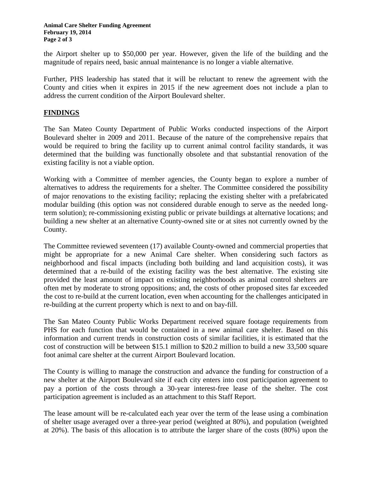the Airport shelter up to \$50,000 per year. However, given the life of the building and the magnitude of repairs need, basic annual maintenance is no longer a viable alternative.

Further, PHS leadership has stated that it will be reluctant to renew the agreement with the County and cities when it expires in 2015 if the new agreement does not include a plan to address the current condition of the Airport Boulevard shelter.

### **FINDINGS**

The San Mateo County Department of Public Works conducted inspections of the Airport Boulevard shelter in 2009 and 2011. Because of the nature of the comprehensive repairs that would be required to bring the facility up to current animal control facility standards, it was determined that the building was functionally obsolete and that substantial renovation of the existing facility is not a viable option.

Working with a Committee of member agencies, the County began to explore a number of alternatives to address the requirements for a shelter. The Committee considered the possibility of major renovations to the existing facility; replacing the existing shelter with a prefabricated modular building (this option was not considered durable enough to serve as the needed longterm solution); re-commissioning existing public or private buildings at alternative locations; and building a new shelter at an alternative County-owned site or at sites not currently owned by the County.

The Committee reviewed seventeen (17) available County-owned and commercial properties that might be appropriate for a new Animal Care shelter. When considering such factors as neighborhood and fiscal impacts (including both building and land acquisition costs), it was determined that a re-build of the existing facility was the best alternative. The existing site provided the least amount of impact on existing neighborhoods as animal control shelters are often met by moderate to strong oppositions; and, the costs of other proposed sites far exceeded the cost to re-build at the current location, even when accounting for the challenges anticipated in re-building at the current property which is next to and on bay-fill.

The San Mateo County Public Works Department received square footage requirements from PHS for each function that would be contained in a new animal care shelter. Based on this information and current trends in construction costs of similar facilities, it is estimated that the cost of construction will be between \$15.1 million to \$20.2 million to build a new 33,500 square foot animal care shelter at the current Airport Boulevard location.

The County is willing to manage the construction and advance the funding for construction of a new shelter at the Airport Boulevard site if each city enters into cost participation agreement to pay a portion of the costs through a 30-year interest-free lease of the shelter. The cost participation agreement is included as an attachment to this Staff Report.

The lease amount will be re-calculated each year over the term of the lease using a combination of shelter usage averaged over a three-year period (weighted at 80%), and population (weighted at 20%). The basis of this allocation is to attribute the larger share of the costs (80%) upon the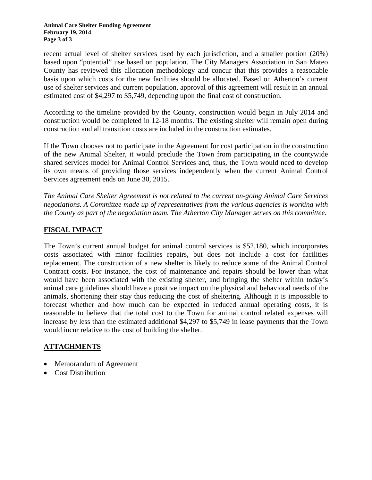recent actual level of shelter services used by each jurisdiction, and a smaller portion (20%) based upon "potential" use based on population. The City Managers Association in San Mateo County has reviewed this allocation methodology and concur that this provides a reasonable basis upon which costs for the new facilities should be allocated. Based on Atherton's current use of shelter services and current population, approval of this agreement will result in an annual estimated cost of \$4,297 to \$5,749, depending upon the final cost of construction.

According to the timeline provided by the County, construction would begin in July 2014 and construction would be completed in 12-18 months. The existing shelter will remain open during construction and all transition costs are included in the construction estimates.

If the Town chooses not to participate in the Agreement for cost participation in the construction of the new Animal Shelter, it would preclude the Town from participating in the countywide shared services model for Animal Control Services and, thus, the Town would need to develop its own means of providing those services independently when the current Animal Control Services agreement ends on June 30, 2015.

*The Animal Care Shelter Agreement is not related to the current on-going Animal Care Services negotiations. A Committee made up of representatives from the various agencies is working with the County as part of the negotiation team. The Atherton City Manager serves on this committee.* 

## **FISCAL IMPACT**

The Town's current annual budget for animal control services is \$52,180, which incorporates costs associated with minor facilities repairs, but does not include a cost for facilities replacement. The construction of a new shelter is likely to reduce some of the Animal Control Contract costs. For instance, the cost of maintenance and repairs should be lower than what would have been associated with the existing shelter, and bringing the shelter within today's animal care guidelines should have a positive impact on the physical and behavioral needs of the animals, shortening their stay thus reducing the cost of sheltering. Although it is impossible to forecast whether and how much can be expected in reduced annual operating costs, it is reasonable to believe that the total cost to the Town for animal control related expenses will increase by less than the estimated additional \$4,297 to \$5,749 in lease payments that the Town would incur relative to the cost of building the shelter.

### **ATTACHMENTS**

- Memorandum of Agreement
- Cost Distribution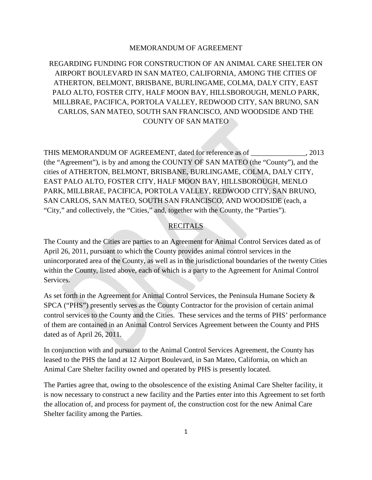#### MEMORANDUM OF AGREEMENT

REGARDING FUNDING FOR CONSTRUCTION OF AN ANIMAL CARE SHELTER ON AIRPORT BOULEVARD IN SAN MATEO, CALIFORNIA, AMONG THE CITIES OF ATHERTON, BELMONT, BRISBANE, BURLINGAME, COLMA, DALY CITY, EAST PALO ALTO, FOSTER CITY, HALF MOON BAY, HILLSBOROUGH, MENLO PARK, MILLBRAE, PACIFICA, PORTOLA VALLEY, REDWOOD CITY, SAN BRUNO, SAN CARLOS, SAN MATEO, SOUTH SAN FRANCISCO, AND WOODSIDE AND THE COUNTY OF SAN MATEO

THIS MEMORANDUM OF AGREEMENT, dated for reference as of \_\_\_\_\_\_\_\_\_\_\_\_\_\_\_, 2013 (the "Agreement"), is by and among the COUNTY OF SAN MATEO (the "County"), and the cities of ATHERTON, BELMONT, BRISBANE, BURLINGAME, COLMA, DALY CITY, EAST PALO ALTO, FOSTER CITY, HALF MOON BAY, HILLSBOROUGH, MENLO PARK, MILLBRAE, PACIFICA, PORTOLA VALLEY, REDWOOD CITY, SAN BRUNO, SAN CARLOS, SAN MATEO, SOUTH SAN FRANCISCO, AND WOODSIDE (each, a "City," and collectively, the "Cities," and, together with the County, the "Parties").

#### **RECITALS**

The County and the Cities are parties to an Agreement for Animal Control Services dated as of April 26, 2011, pursuant to which the County provides animal control services in the unincorporated area of the County, as well as in the jurisdictional boundaries of the twenty Cities within the County, listed above, each of which is a party to the Agreement for Animal Control Services.

As set forth in the Agreement for Animal Control Services, the Peninsula Humane Society & SPCA ("PHS") presently serves as the County Contractor for the provision of certain animal control services to the County and the Cities. These services and the terms of PHS' performance of them are contained in an Animal Control Services Agreement between the County and PHS dated as of April 26, 2011.

In conjunction with and pursuant to the Animal Control Services Agreement, the County has leased to the PHS the land at 12 Airport Boulevard, in San Mateo, California, on which an Animal Care Shelter facility owned and operated by PHS is presently located.

The Parties agree that, owing to the obsolescence of the existing Animal Care Shelter facility, it is now necessary to construct a new facility and the Parties enter into this Agreement to set forth the allocation of, and process for payment of, the construction cost for the new Animal Care Shelter facility among the Parties.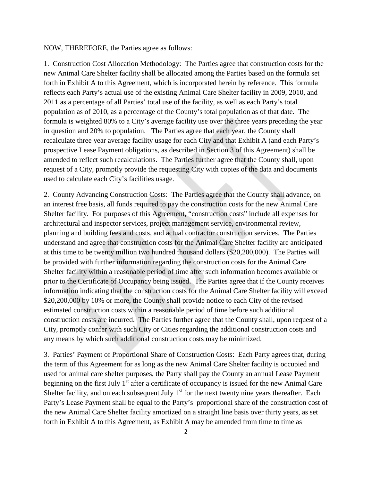#### NOW, THEREFORE, the Parties agree as follows:

1. Construction Cost Allocation Methodology: The Parties agree that construction costs for the new Animal Care Shelter facility shall be allocated among the Parties based on the formula set forth in Exhibit A to this Agreement, which is incorporated herein by reference. This formula reflects each Party's actual use of the existing Animal Care Shelter facility in 2009, 2010, and 2011 as a percentage of all Parties' total use of the facility, as well as each Party's total population as of 2010, as a percentage of the County's total population as of that date. The formula is weighted 80% to a City's average facility use over the three years preceding the year in question and 20% to population. The Parties agree that each year, the County shall recalculate three year average facility usage for each City and that Exhibit A (and each Party's prospective Lease Payment obligations, as described in Section 3 of this Agreement) shall be amended to reflect such recalculations. The Parties further agree that the County shall, upon request of a City, promptly provide the requesting City with copies of the data and documents used to calculate each City's facilities usage.

2. County Advancing Construction Costs: The Parties agree that the County shall advance, on an interest free basis, all funds required to pay the construction costs for the new Animal Care Shelter facility. For purposes of this Agreement, "construction costs" include all expenses for architectural and inspector services, project management service, environmental review, planning and building fees and costs, and actual contractor construction services. The Parties understand and agree that construction costs for the Animal Care Shelter facility are anticipated at this time to be twenty million two hundred thousand dollars (\$20,200,000). The Parties will be provided with further information regarding the construction costs for the Animal Care Shelter facility within a reasonable period of time after such information becomes available or prior to the Certificate of Occupancy being issued. The Parties agree that if the County receives information indicating that the construction costs for the Animal Care Shelter facility will exceed \$20,200,000 by 10% or more, the County shall provide notice to each City of the revised estimated construction costs within a reasonable period of time before such additional construction costs are incurred. The Parties further agree that the County shall, upon request of a City, promptly confer with such City or Cities regarding the additional construction costs and any means by which such additional construction costs may be minimized.

3. Parties' Payment of Proportional Share of Construction Costs: Each Party agrees that, during the term of this Agreement for as long as the new Animal Care Shelter facility is occupied and used for animal care shelter purposes, the Party shall pay the County an annual Lease Payment beginning on the first July  $1<sup>st</sup>$  after a certificate of occupancy is issued for the new Animal Care Shelter facility, and on each subsequent July  $1<sup>st</sup>$  for the next twenty nine years thereafter. Each Party's Lease Payment shall be equal to the Party's proportional share of the construction cost of the new Animal Care Shelter facility amortized on a straight line basis over thirty years, as set forth in Exhibit A to this Agreement, as Exhibit A may be amended from time to time as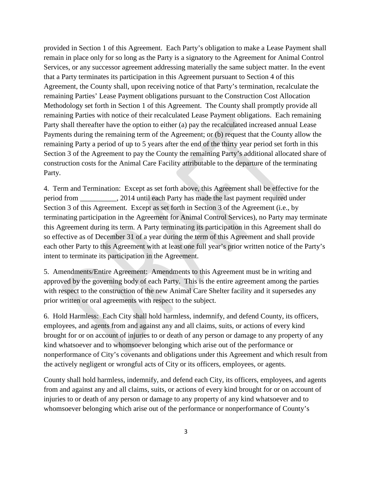provided in Section 1 of this Agreement. Each Party's obligation to make a Lease Payment shall remain in place only for so long as the Party is a signatory to the Agreement for Animal Control Services, or any successor agreement addressing materially the same subject matter. In the event that a Party terminates its participation in this Agreement pursuant to Section 4 of this Agreement, the County shall, upon receiving notice of that Party's termination, recalculate the remaining Parties' Lease Payment obligations pursuant to the Construction Cost Allocation Methodology set forth in Section 1 of this Agreement. The County shall promptly provide all remaining Parties with notice of their recalculated Lease Payment obligations. Each remaining Party shall thereafter have the option to either (a) pay the recalculated increased annual Lease Payments during the remaining term of the Agreement; or (b) request that the County allow the remaining Party a period of up to 5 years after the end of the thirty year period set forth in this Section 3 of the Agreement to pay the County the remaining Party's additional allocated share of construction costs for the Animal Care Facility attributable to the departure of the terminating Party.

4. Term and Termination: Except as set forth above, this Agreement shall be effective for the period from \_\_\_\_\_\_\_\_\_\_, 2014 until each Party has made the last payment required under Section 3 of this Agreement. Except as set forth in Section 3 of the Agreement (i.e., by terminating participation in the Agreement for Animal Control Services), no Party may terminate this Agreement during its term. A Party terminating its participation in this Agreement shall do so effective as of December 31 of a year during the term of this Agreement and shall provide each other Party to this Agreement with at least one full year's prior written notice of the Party's intent to terminate its participation in the Agreement.

5. Amendments/Entire Agreement: Amendments to this Agreement must be in writing and approved by the governing body of each Party. This is the entire agreement among the parties with respect to the construction of the new Animal Care Shelter facility and it supersedes any prior written or oral agreements with respect to the subject.

6. Hold Harmless: Each City shall hold harmless, indemnify, and defend County, its officers, employees, and agents from and against any and all claims, suits, or actions of every kind brought for or on account of injuries to or death of any person or damage to any property of any kind whatsoever and to whomsoever belonging which arise out of the performance or nonperformance of City's covenants and obligations under this Agreement and which result from the actively negligent or wrongful acts of City or its officers, employees, or agents.

County shall hold harmless, indemnify, and defend each City, its officers, employees, and agents from and against any and all claims, suits, or actions of every kind brought for or on account of injuries to or death of any person or damage to any property of any kind whatsoever and to whomsoever belonging which arise out of the performance or nonperformance of County's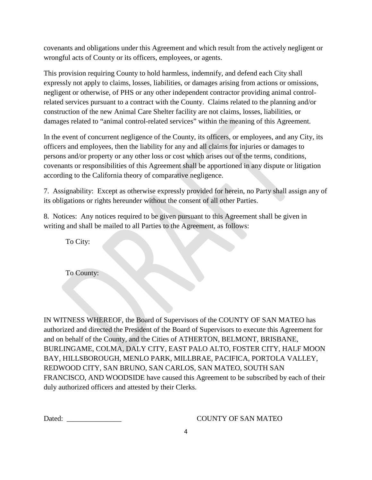covenants and obligations under this Agreement and which result from the actively negligent or wrongful acts of County or its officers, employees, or agents.

This provision requiring County to hold harmless, indemnify, and defend each City shall expressly not apply to claims, losses, liabilities, or damages arising from actions or omissions, negligent or otherwise, of PHS or any other independent contractor providing animal controlrelated services pursuant to a contract with the County. Claims related to the planning and/or construction of the new Animal Care Shelter facility are not claims, losses, liabilities, or damages related to "animal control-related services" within the meaning of this Agreement.

In the event of concurrent negligence of the County, its officers, or employees, and any City, its officers and employees, then the liability for any and all claims for injuries or damages to persons and/or property or any other loss or cost which arises out of the terms, conditions, covenants or responsibilities of this Agreement shall be apportioned in any dispute or litigation according to the California theory of comparative negligence.

7. Assignability: Except as otherwise expressly provided for herein, no Party shall assign any of its obligations or rights hereunder without the consent of all other Parties.

8. Notices: Any notices required to be given pursuant to this Agreement shall be given in writing and shall be mailed to all Parties to the Agreement, as follows:

To City:

To County:

IN WITNESS WHEREOF, the Board of Supervisors of the COUNTY OF SAN MATEO has authorized and directed the President of the Board of Supervisors to execute this Agreement for and on behalf of the County, and the Cities of ATHERTON, BELMONT, BRISBANE, BURLINGAME, COLMA, DALY CITY, EAST PALO ALTO, FOSTER CITY, HALF MOON BAY, HILLSBOROUGH, MENLO PARK, MILLBRAE, PACIFICA, PORTOLA VALLEY, REDWOOD CITY, SAN BRUNO, SAN CARLOS, SAN MATEO, SOUTH SAN FRANCISCO, AND WOODSIDE have caused this Agreement to be subscribed by each of their duly authorized officers and attested by their Clerks.

#### Dated: COUNTY OF SAN MATEO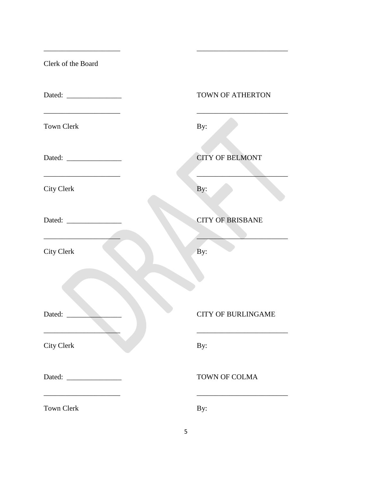| Clerk of the Board |  |  |
|--------------------|--|--|
|--------------------|--|--|

|                   | <b>TOWN OF ATHERTON</b>   |  |
|-------------------|---------------------------|--|
| <b>Town Clerk</b> | By:                       |  |
|                   | <b>CITY OF BELMONT</b>    |  |
| <b>City Clerk</b> | By:                       |  |
|                   | <b>CITY OF BRISBANE</b>   |  |
| City Clerk        | By:                       |  |
|                   |                           |  |
| Dated:            | <b>CITY OF BURLINGAME</b> |  |
| <b>City Clerk</b> | By:                       |  |
|                   | <b>TOWN OF COLMA</b>      |  |
| <b>Town Clerk</b> | By:                       |  |

\_\_\_\_\_\_\_\_\_\_\_\_\_\_\_\_\_\_\_\_\_ \_\_\_\_\_\_\_\_\_\_\_\_\_\_\_\_\_\_\_\_\_\_\_\_\_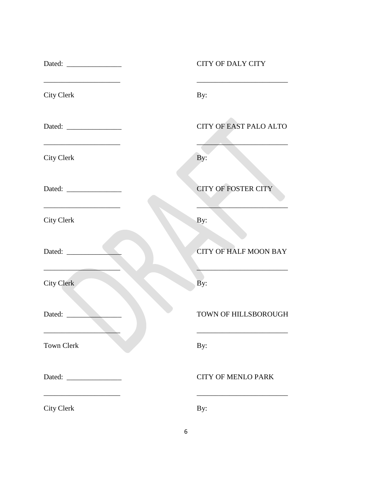|                                                                                      | <b>CITY OF DALY CITY</b>      |
|--------------------------------------------------------------------------------------|-------------------------------|
| City Clerk                                                                           | By:                           |
|                                                                                      | <b>CITY OF EAST PALO ALTO</b> |
| City Clerk                                                                           | By:                           |
| Dated:                                                                               | <b>CITY OF FOSTER CITY</b>    |
| the control of the control of the control of the control of the<br><b>City Clerk</b> | By:                           |
| Dated:                                                                               | <b>CITY OF HALF MOON BAY</b>  |
| <b>City Clerk</b>                                                                    | By:                           |
| Dated:                                                                               | TOWN OF HILLSBOROUGH          |
| <b>Town Clerk</b>                                                                    | By:                           |
| Dated:<br><u> 1989 - Jan Sarajević, politik po</u>                                   | <b>CITY OF MENLO PARK</b>     |
| City Clerk                                                                           | By:                           |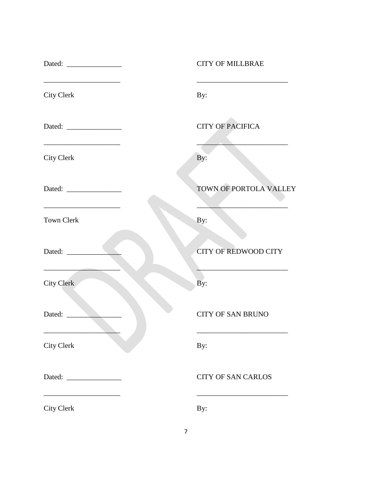|                                                                              | <b>CITY OF MILLBRAE</b>     |  |  |
|------------------------------------------------------------------------------|-----------------------------|--|--|
| <b>City Clerk</b>                                                            | By:                         |  |  |
|                                                                              | <b>CITY OF PACIFICA</b>     |  |  |
| <u> 1989 - Johann John Stone, mars et al. (</u><br><b>City Clerk</b>         | By:                         |  |  |
| Dated:                                                                       | TOWN OF PORTOLA VALLEY      |  |  |
| <u> 1980 - Johann Barbara, martin amerikan basar da</u><br><b>Town Clerk</b> | By:                         |  |  |
| Dated:                                                                       | <b>CITY OF REDWOOD CITY</b> |  |  |
| <b>City Clerk</b>                                                            | By:                         |  |  |
| Dated:                                                                       | <b>CITY OF SAN BRUNO</b>    |  |  |
| City Clerk                                                                   | By:                         |  |  |
|                                                                              | <b>CITY OF SAN CARLOS</b>   |  |  |
| <b>City Clerk</b>                                                            | By:                         |  |  |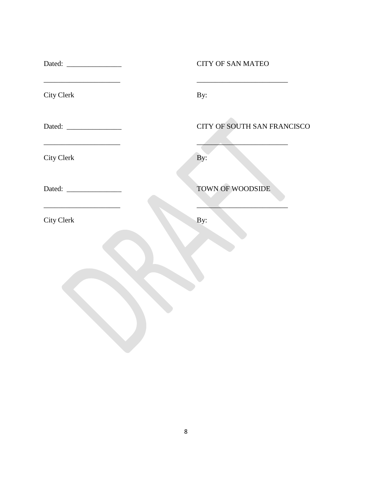|                                                       | <b>CITY OF SAN MATEO</b>    |
|-------------------------------------------------------|-----------------------------|
| City Clerk                                            | By:                         |
|                                                       | CITY OF SOUTH SAN FRANCISCO |
| City Clerk                                            | By:                         |
| Dated:                                                | TOWN OF WOODSIDE            |
| <u> 1989 - Johann Barbara, martxa a</u><br>City Clerk | By:                         |
|                                                       |                             |